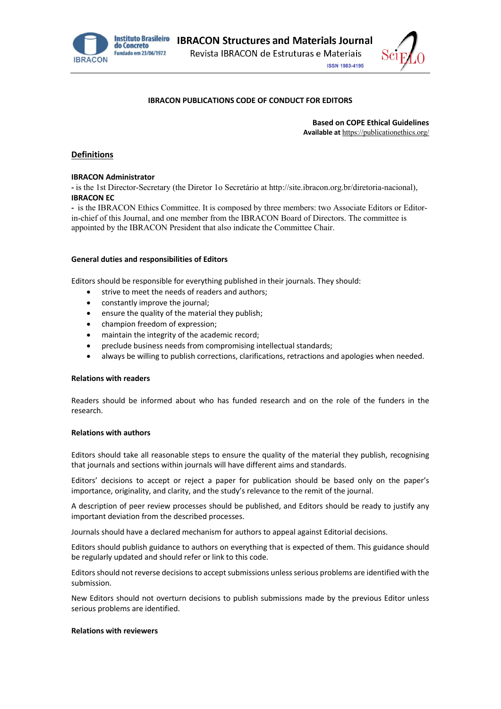



# **IBRACON PUBLICATIONS CODE OF CONDUCT FOR EDITORS**

**Based on COPE Ethical Guidelines Available at** https://publicationethics.org/

# **Definitions**

#### **IBRACON Administrator**

**-** is the 1st Director-Secretary (the Diretor 1o Secretário at http://site.ibracon.org.br/diretoria-nacional), **IBRACON EC** 

**-** is the IBRACON Ethics Committee. It is composed by three members: two Associate Editors or Editorin-chief of this Journal, and one member from the IBRACON Board of Directors. The committee is appointed by the IBRACON President that also indicate the Committee Chair.

#### **General duties and responsibilities of Editors**

Editors should be responsible for everything published in their journals. They should:

- strive to meet the needs of readers and authors;
- constantly improve the journal;
- ensure the quality of the material they publish;
- champion freedom of expression;
- maintain the integrity of the academic record;
- preclude business needs from compromising intellectual standards;
- always be willing to publish corrections, clarifications, retractions and apologies when needed.

#### **Relations with readers**

Readers should be informed about who has funded research and on the role of the funders in the research.

# **Relations with authors**

Editors should take all reasonable steps to ensure the quality of the material they publish, recognising that journals and sections within journals will have different aims and standards.

Editors' decisions to accept or reject a paper for publication should be based only on the paper's importance, originality, and clarity, and the study's relevance to the remit of the journal.

A description of peer review processes should be published, and Editors should be ready to justify any important deviation from the described processes.

Journals should have a declared mechanism for authors to appeal against Editorial decisions.

Editors should publish guidance to authors on everything that is expected of them. This guidance should be regularly updated and should refer or link to this code.

Editors should not reverse decisions to accept submissions unless serious problems are identified with the submission.

New Editors should not overturn decisions to publish submissions made by the previous Editor unless serious problems are identified.

#### **Relations with reviewers**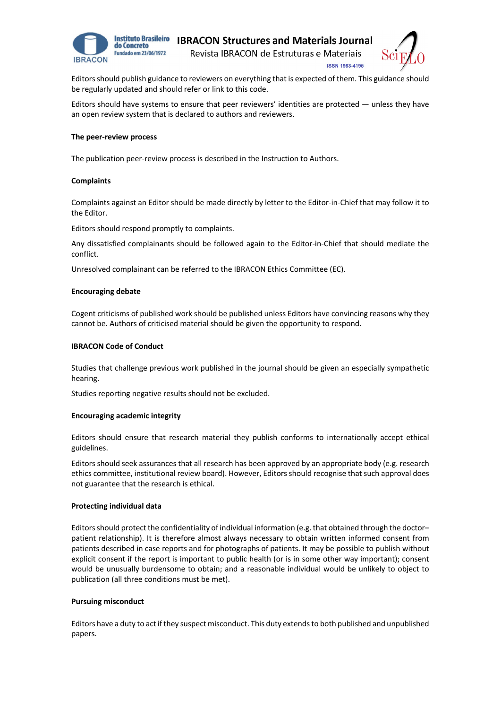



**ISSN 1983-4195** 

Editors should publish guidance to reviewers on everything that is expected of them. This guidance should be regularly updated and should refer or link to this code.

Editors should have systems to ensure that peer reviewers' identities are protected — unless they have an open review system that is declared to authors and reviewers.

#### **The peer-review process**

The publication peer-review process is described in the Instruction to Authors.

#### **Complaints**

Complaints against an Editor should be made directly by letter to the Editor-in-Chief that may follow it to the Editor.

Editors should respond promptly to complaints.

Any dissatisfied complainants should be followed again to the Editor-in-Chief that should mediate the conflict.

Unresolved complainant can be referred to the IBRACON Ethics Committee (EC).

## **Encouraging debate**

Cogent criticisms of published work should be published unless Editors have convincing reasons why they cannot be. Authors of criticised material should be given the opportunity to respond.

## **IBRACON Code of Conduct**

Studies that challenge previous work published in the journal should be given an especially sympathetic hearing.

Studies reporting negative results should not be excluded.

# **Encouraging academic integrity**

Editors should ensure that research material they publish conforms to internationally accept ethical guidelines.

Editors should seek assurances that all research has been approved by an appropriate body (e.g. research ethics committee, institutional review board). However, Editors should recognise that such approval does not guarantee that the research is ethical.

#### **Protecting individual data**

Editors should protect the confidentiality of individual information (e.g. that obtained through the doctorpatient relationship). It is therefore almost always necessary to obtain written informed consent from patients described in case reports and for photographs of patients. It may be possible to publish without explicit consent if the report is important to public health (or is in some other way important); consent would be unusually burdensome to obtain; and a reasonable individual would be unlikely to object to publication (all three conditions must be met).

# **Pursuing misconduct**

Editors have a duty to act if they suspect misconduct. This duty extends to both published and unpublished papers.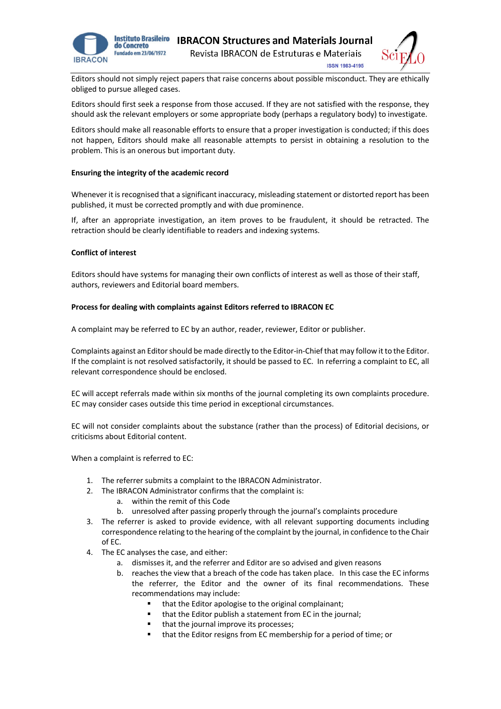



Editors should not simply reject papers that raise concerns about possible misconduct. They are ethically obliged to pursue alleged cases.

Editors should first seek a response from those accused. If they are not satisfied with the response, they should ask the relevant employers or some appropriate body (perhaps a regulatory body) to investigate.

Editors should make all reasonable efforts to ensure that a proper investigation is conducted; if this does not happen, Editors should make all reasonable attempts to persist in obtaining a resolution to the problem. This is an onerous but important duty.

## **Ensuring the integrity of the academic record**

Whenever it is recognised that a significant inaccuracy, misleading statement or distorted report has been published, it must be corrected promptly and with due prominence.

If, after an appropriate investigation, an item proves to be fraudulent, it should be retracted. The retraction should be clearly identifiable to readers and indexing systems.

## **Conflict of interest**

Editors should have systems for managing their own conflicts of interest as well as those of their staff, authors, reviewers and Editorial board members.

## **Process for dealing with complaints against Editors referred to IBRACON EC**

A complaint may be referred to EC by an author, reader, reviewer, Editor or publisher.

Complaints against an Editor should be made directly to the Editor-in-Chief that may follow it to the Editor. If the complaint is not resolved satisfactorily, it should be passed to EC. In referring a complaint to EC, all relevant correspondence should be enclosed.

EC will accept referrals made within six months of the journal completing its own complaints procedure. EC may consider cases outside this time period in exceptional circumstances.

EC will not consider complaints about the substance (rather than the process) of Editorial decisions, or criticisms about Editorial content.

When a complaint is referred to EC:

- 1. The referrer submits a complaint to the IBRACON Administrator.
- 2. The IBRACON Administrator confirms that the complaint is:
	- a. within the remit of this Code
	- b. unresolved after passing properly through the journal's complaints procedure
- 3. The referrer is asked to provide evidence, with all relevant supporting documents including correspondence relating to the hearing of the complaint by the journal, in confidence to the Chair of EC.
- 4. The EC analyses the case, and either:
	- a. dismisses it, and the referrer and Editor are so advised and given reasons
	- b. reaches the view that a breach of the code has taken place. In this case the EC informs the referrer, the Editor and the owner of its final recommendations. These recommendations may include:
		- that the Editor apologise to the original complainant;
		- that the Editor publish a statement from EC in the journal;
		- that the journal improve its processes;
		- that the Editor resigns from EC membership for a period of time; or